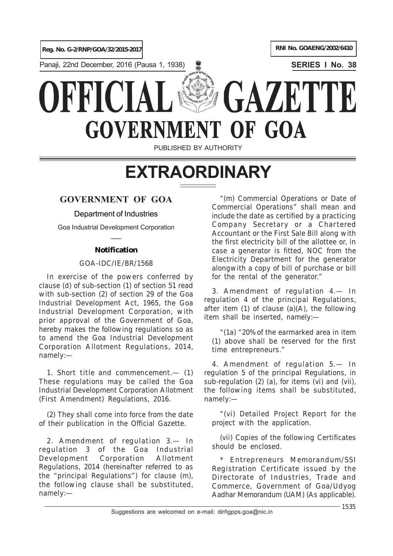

Panaji, 22nd December, 2016 (Pausa 1, 1938) **SERIES I No. 38**

# GAZET **GOVERNMEN** OF GOA

PUBLISHED BY AUTHORITY

## **EXTRAORDINARY**

## **GOVERNMENT OF GOA**

### Department of Industries

Goa Industrial Development Corporation  $\overline{\phantom{a}}$ 

### **Notification**

#### GOA-IDC/IE/BR/1568

In exercise of the powers conferred by clause (*d*) of sub-section (*1*) of section 51 read with sub-section (*2*) of section 29 of the Goa Industrial Development Act, 1965, the Goa Industrial Development Corporation, with prior approval of the Government of Goa, hereby makes the following regulations so as to amend the Goa Industrial Development Corporation Allotment Regulations, 2014, namely:—

1. *Short title and commencement*.— (*1*) These regulations may be called the Goa Industrial Development Corporation Allotment (First Amendment) Regulations, 2016.

(*2*) They shall come into force from the date of their publication in the Official Gazette.

2. *Amendment of regulation 3.*— In regulation 3 of the Goa Industrial Development Corporation Allotment Regulations, 2014 (hereinafter referred to as the "principal Regulations") for clause (*m*), the following clause shall be substituted, namely:—

"(*m*) Commercial Operations or Date of Commercial Operations" shall mean and include the date as certified by a practicing Company Secretary or a Chartered Accountant or the First Sale Bill along with the first electricity bill of the allottee or, in case a generator is fitted, NOC from the Electricity Department for the generator alongwith a copy of bill of purchase or bill for the rental of the generator."

3. *Amendment of regulation 4.*— In regulation 4 of the principal Regulations, after item (*1*) of clause (*a*)(*A*), the following item shall be inserted, namely:—

"(*1a*) "20% of the earmarked area in item (*1*) above shall be reserved for the first time entrepreneurs."

4. *Amendment of regulation 5.*— In regulation 5 of the principal Regulations, in sub-regulation (*2*) (*a*), for items (*vi*) and (*vii*), the following items shall be substituted, namely:—

"(*vi*) Detailed Project Report for the project with the application.

(*vii*) Copies of the following Certificates should be enclosed.

\* Entrepreneurs Memorandum/SSI Registration Certificate issued by the Directorate of Industries, Trade and Commerce, Government of Goa/Udyog Aadhar Memorandum (UAM) (As applicable).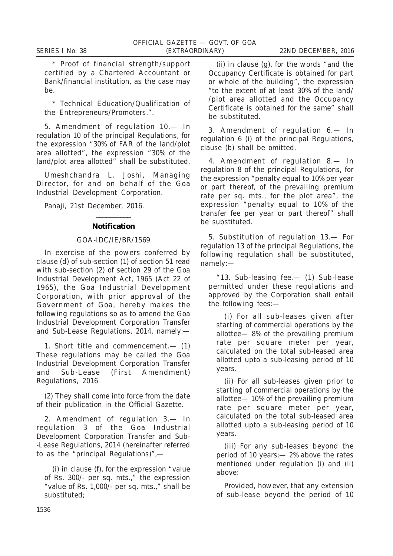\* Proof of financial strength/support certified by a Chartered Accountant or Bank/financial institution, as the case may be.

\* Technical Education/Qualification of the Entrepreneurs/Promoters.".

5. *Amendment of regulation 10*.— In regulation 10 of the principal Regulations, for the expression "30% of FAR of the land/plot area allotted", the expression "30% of the land/plot area allotted" shall be substituted.

*Umeshchandra L. Joshi*, Managing Director, for and on behalf of the Goa Industrial Development Corporation.

Panaji, 21st December, 2016.

#### $\overline{\phantom{a}}$ **Notification**

#### GOA-IDC/IE/BR/1569

In exercise of the powers conferred by clause (*d*) of sub-section (*1*) of section 51 read with sub-section (*2*) of section 29 of the Goa Industrial Development Act, 1965 (Act 22 of 1965), the Goa Industrial Development Corporation, with prior approval of the Government of Goa, hereby makes the following regulations so as to amend the Goa Industrial Development Corporation Transfer and Sub-Lease Regulations, 2014, namely:—

1. *Short title and commencement.*— (*1*) These regulations may be called the Goa Industrial Development Corporation Transfer and Sub-Lease (First Amendment) Regulations, 2016.

(*2*) They shall come into force from the date of their publication in the Official Gazette.

2. *Amendment of regulation 3.*— In regulation 3 of the Goa Industrial Development Corporation Transfer and Sub- -Lease Regulations, 2014 (hereinafter referred to as the "principal Regulations)",—

(*i*) in clause (*f*), for the expression "value of Rs. 300/- per sq. mts.," the expression "value of Rs. 1,000/- per sq. mts.," shall be substituted;

(*ii*) in clause (*g*), for the words "and the Occupancy Certificate is obtained for part or whole of the building", the expression "to the extent of at least 30% of the land/ /plot area allotted and the Occupancy Certificate is obtained for the same" shall be substituted.

3. *Amendment of regulation 6.*— In regulation 6 (*i*) of the principal Regulations, clause (*b*) shall be omitted.

4. *Amendment of regulation 8.*— In regulation 8 of the principal Regulations, for the expression "penalty equal to 10% per year or part thereof, of the prevailing premium rate per sq. mts., for the plot area", the expression "penalty equal to 10% of the transfer fee per year or part thereof" shall be substituted.

5. *Substitution of regulation 13.*— For regulation 13 of the principal Regulations, the following regulation shall be substituted, namely:—

"13. *Sub-leasing fee.*— (*1*) Sub-lease permitted under these regulations and approved by the Corporation shall entail the following fees:—

(*i*) For all sub-leases given after starting of commercial operations by the allottee— 8% of the prevailing premium rate per square meter per year, calculated on the total sub-leased area allotted upto a sub-leasing period of 10 years.

(*ii*) For all sub-leases given prior to starting of commercial operations by the allottee— 10% of the prevailing premium rate per square meter per year, calculated on the total sub-leased area allotted upto a sub-leasing period of 10 years.

(*iii*) For any sub-leases beyond the period of 10 years:— 2% above the rates mentioned under regulation (*i*) and (*ii*) above:

Provided, however, that any extension of sub-lease beyond the period of 10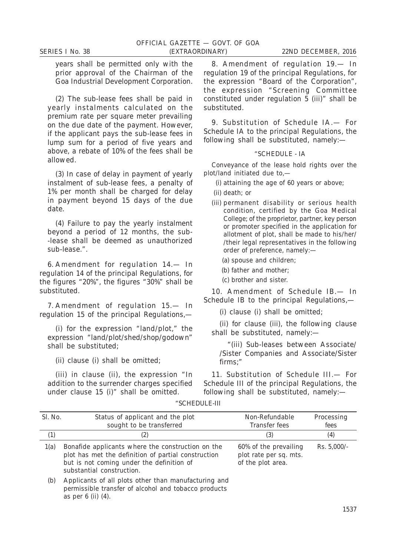years shall be permitted only with the prior approval of the Chairman of the Goa Industrial Development Corporation.

(*2*) The sub-lease fees shall be paid in yearly instalments calculated on the premium rate per square meter prevailing on the due date of the payment. However, if the applicant pays the sub-lease fees in lump sum for a period of five years and above, a rebate of 10% of the fees shall be allowed.

(*3*) In case of delay in payment of yearly instalment of sub-lease fees, a penalty of 1% per month shall be charged for delay in payment beyond 15 days of the due date.

(*4*) Failure to pay the yearly instalment beyond a period of 12 months, the sub- -lease shall be deemed as unauthorized sub-lease.".

6. *Amendment for regulation 14.*— In regulation 14 of the principal Regulations, for the figures "20%", the figures "30%" shall be substituted.

7. *Amendment of regulation 15.*— In regulation 15 of the principal Regulations,—

(*i*) for the expression "land/plot," the expression "land/plot/shed/shop/godown" shall be substituted;

(*ii*) clause (*i*) shall be omitted;

as per 6 (*ii*) (*4*).

(*iii*) in clause (*ii*), the expression "In addition to the surrender charges specified under clause 15 (*i*)" shall be omitted.

8. *Amendment of regulation 19.*— In regulation 19 of the principal Regulations, for the expression "Board of the Corporation", the expression "Screening Committee constituted under regulation 5 (*iii*)" shall be substituted.

9. *Substitution of Schedule IA.*— For Schedule IA to the principal Regulations, the following shall be substituted, namely:—

#### "SCHEDULE - IA

Conveyance of the lease hold rights over the plot/land initiated due to,—

- (*i*) attaining the age of 60 years or above;
- (ii) death; or
- (*iii*) permanent disability or serious health condition, certified by the Goa Medical College; of the proprietor, partner, key person or promoter specified in the application for allotment of plot, shall be made to his/her/ /their legal representatives in the following order of preference, namely:—
	- (a) spouse and children;
	- (b) father and mother;
	- (c) brother and sister.

10. *Amendment of Schedule IB*.— In Schedule IB to the principal Regulations,—

(*i*) clause (*i*) shall be omitted;

(*ii*) for clause (*iii*), the following clause shall be substituted, namely:—

"(*iii*) Sub-leases between Associate/ /Sister Companies and Associate/Sister firms;"

11. *Substitution of Schedule III.*— For Schedule III of the principal Regulations, the following shall be substituted, namely:—

| Sl. No.          | Status of applicant and the plot<br>sought to be transferred                                                                                                                       | Non-Refundable<br>Transfer fees                                      | Processing<br>fees |
|------------------|------------------------------------------------------------------------------------------------------------------------------------------------------------------------------------|----------------------------------------------------------------------|--------------------|
| $\left(1\right)$ | $\left( 2\right)$                                                                                                                                                                  | (3)                                                                  | (4)                |
| 1(a)             | Bonafide applicants where the construction on the<br>plot has met the definition of partial construction<br>but is not coming under the definition of<br>substantial construction. | 60% of the prevailing<br>plot rate per sq. mts.<br>of the plot area. | Rs. $5,000/-$      |
| (b)              | Applicants of all plots other than manufacturing and<br>permissible transfer of alcohol and tobacco products                                                                       |                                                                      |                    |

"SCHEDULE-III